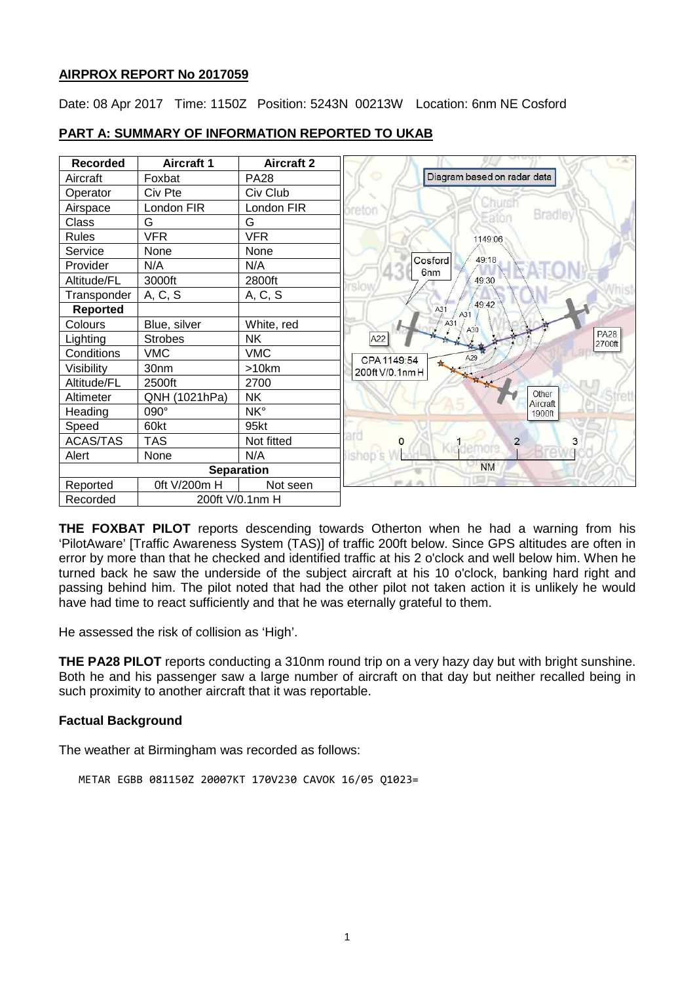# **AIRPROX REPORT No 2017059**

Date: 08 Apr 2017 Time: 1150Z Position: 5243N 00213W Location: 6nm NE Cosford



# **PART A: SUMMARY OF INFORMATION REPORTED TO UKAB**

**THE FOXBAT PILOT** reports descending towards Otherton when he had a warning from his 'PilotAware' [Traffic Awareness System (TAS)] of traffic 200ft below. Since GPS altitudes are often in error by more than that he checked and identified traffic at his 2 o'clock and well below him. When he turned back he saw the underside of the subject aircraft at his 10 o'clock, banking hard right and passing behind him. The pilot noted that had the other pilot not taken action it is unlikely he would have had time to react sufficiently and that he was eternally grateful to them.

He assessed the risk of collision as 'High'.

**THE PA28 PILOT** reports conducting a 310nm round trip on a very hazy day but with bright sunshine. Both he and his passenger saw a large number of aircraft on that day but neither recalled being in such proximity to another aircraft that it was reportable.

# **Factual Background**

The weather at Birmingham was recorded as follows:

```
METAR EGBB 081150Z 20007KT 170V230 CAVOK 16/05 Q1023=
```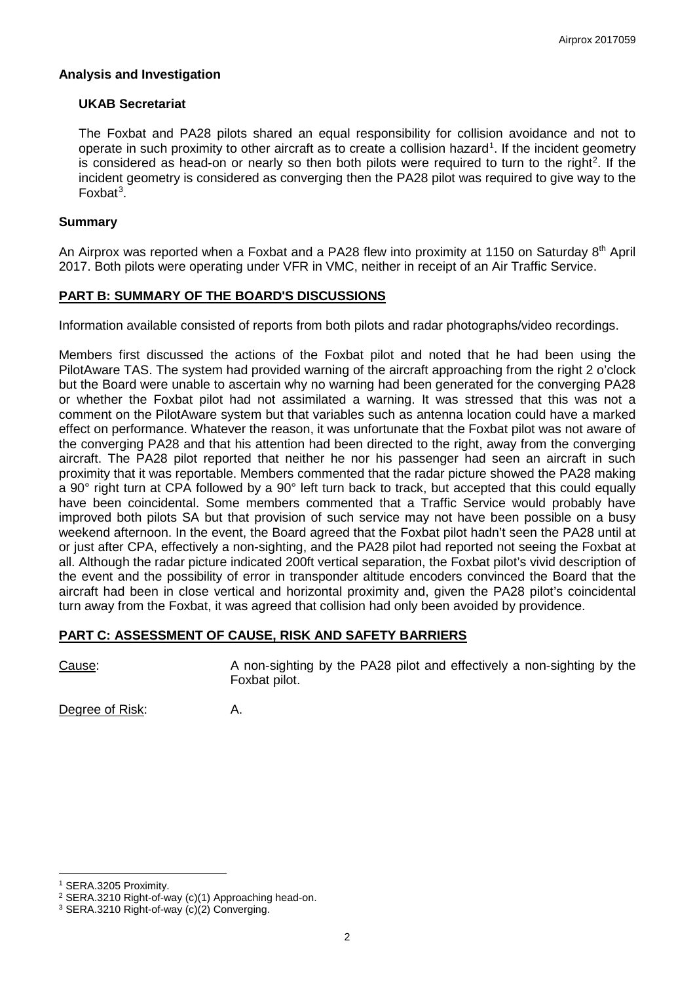### **Analysis and Investigation**

### **UKAB Secretariat**

The Foxbat and PA28 pilots shared an equal responsibility for collision avoidance and not to operate in such proximity to other aircraft as to create a collision hazard<sup>[1](#page-1-0)</sup>. If the incident geometry is considered as head-on or nearly so then both pilots were required to turn to the right<sup>[2](#page-1-1)</sup>. If the incident geometry is considered as converging then the PA28 pilot was required to give way to the Foxbat<sup>[3](#page-1-2)</sup>.

### **Summary**

An Airprox was reported when a Foxbat and a PA28 flew into proximity at 1150 on Saturday 8<sup>th</sup> April 2017. Both pilots were operating under VFR in VMC, neither in receipt of an Air Traffic Service.

# **PART B: SUMMARY OF THE BOARD'S DISCUSSIONS**

Information available consisted of reports from both pilots and radar photographs/video recordings.

Members first discussed the actions of the Foxbat pilot and noted that he had been using the PilotAware TAS. The system had provided warning of the aircraft approaching from the right 2 o'clock but the Board were unable to ascertain why no warning had been generated for the converging PA28 or whether the Foxbat pilot had not assimilated a warning. It was stressed that this was not a comment on the PilotAware system but that variables such as antenna location could have a marked effect on performance. Whatever the reason, it was unfortunate that the Foxbat pilot was not aware of the converging PA28 and that his attention had been directed to the right, away from the converging aircraft. The PA28 pilot reported that neither he nor his passenger had seen an aircraft in such proximity that it was reportable. Members commented that the radar picture showed the PA28 making a 90° right turn at CPA followed by a 90° left turn back to track, but accepted that this could equally have been coincidental. Some members commented that a Traffic Service would probably have improved both pilots SA but that provision of such service may not have been possible on a busy weekend afternoon. In the event, the Board agreed that the Foxbat pilot hadn't seen the PA28 until at or just after CPA, effectively a non-sighting, and the PA28 pilot had reported not seeing the Foxbat at all. Although the radar picture indicated 200ft vertical separation, the Foxbat pilot's vivid description of the event and the possibility of error in transponder altitude encoders convinced the Board that the aircraft had been in close vertical and horizontal proximity and, given the PA28 pilot's coincidental turn away from the Foxbat, it was agreed that collision had only been avoided by providence.

# **PART C: ASSESSMENT OF CAUSE, RISK AND SAFETY BARRIERS**

Cause: A non-sighting by the PA28 pilot and effectively a non-sighting by the Foxbat pilot.

Degree of Risk: A.

 $\overline{\phantom{a}}$ 

<span id="page-1-0"></span><sup>1</sup> SERA.3205 Proximity.

<span id="page-1-1"></span><sup>2</sup> SERA.3210 Right-of-way (c)(1) Approaching head-on.

<span id="page-1-2"></span><sup>3</sup> SERA.3210 Right-of-way (c)(2) Converging.